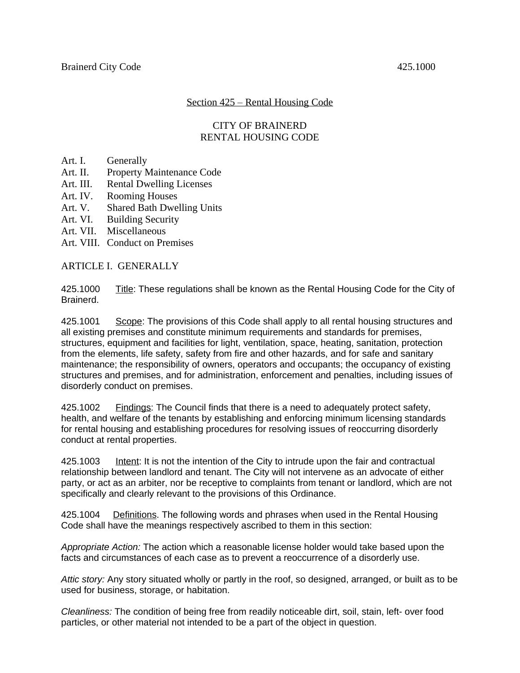# Section 425 – Rental Housing Code

# CITY OF BRAINERD RENTAL HOUSING CODE

- Art. I. Generally
- Art. II. Property Maintenance Code
- Art. III. Rental Dwelling Licenses
- Art. IV. Rooming Houses
- Art. V. Shared Bath Dwelling Units
- Art. VI. Building Security
- Art. VII. Miscellaneous
- Art. VIII. Conduct on Premises

ARTICLE I. GENERALLY

425.1000 Title: These regulations shall be known as the Rental Housing Code for the City of Brainerd.

425.1001 Scope: The provisions of this Code shall apply to all rental housing structures and all existing premises and constitute minimum requirements and standards for premises, structures, equipment and facilities for light, ventilation, space, heating, sanitation, protection from the elements, life safety, safety from fire and other hazards, and for safe and sanitary maintenance; the responsibility of owners, operators and occupants; the occupancy of existing structures and premises, and for administration, enforcement and penalties, including issues of disorderly conduct on premises.

425.1002 Findings: The Council finds that there is a need to adequately protect safety, health, and welfare of the tenants by establishing and enforcing minimum licensing standards for rental housing and establishing procedures for resolving issues of reoccurring disorderly conduct at rental properties.

425.1003 **Intent:** It is not the intention of the City to intrude upon the fair and contractual relationship between landlord and tenant. The City will not intervene as an advocate of either party, or act as an arbiter, nor be receptive to complaints from tenant or landlord, which are not specifically and clearly relevant to the provisions of this Ordinance.

425.1004 Definitions. The following words and phrases when used in the Rental Housing Code shall have the meanings respectively ascribed to them in this section:

*Appropriate Action:* The action which a reasonable license holder would take based upon the facts and circumstances of each case as to prevent a reoccurrence of a disorderly use.

*Attic story:* Any story situated wholly or partly in the roof, so designed, arranged, or built as to be used for business, storage, or habitation.

*Cleanliness:* The condition of being free from readily noticeable dirt, soil, stain, left- over food particles, or other material not intended to be a part of the object in question.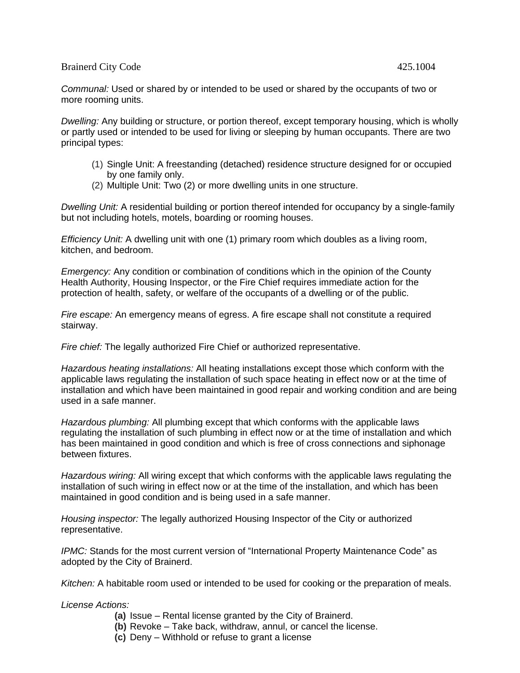*Communal:* Used or shared by or intended to be used or shared by the occupants of two or more rooming units.

*Dwelling:* Any building or structure, or portion thereof, except temporary housing, which is wholly or partly used or intended to be used for living or sleeping by human occupants. There are two principal types:

- (1) Single Unit: A freestanding (detached) residence structure designed for or occupied by one family only.
- (2) Multiple Unit: Two (2) or more dwelling units in one structure.

*Dwelling Unit:* A residential building or portion thereof intended for occupancy by a single-family but not including hotels, motels, boarding or rooming houses.

*Efficiency Unit:* A dwelling unit with one (1) primary room which doubles as a living room, kitchen, and bedroom.

*Emergency:* Any condition or combination of conditions which in the opinion of the County Health Authority, Housing Inspector, or the Fire Chief requires immediate action for the protection of health, safety, or welfare of the occupants of a dwelling or of the public.

*Fire escape:* An emergency means of egress. A fire escape shall not constitute a required stairway.

*Fire chief:* The legally authorized Fire Chief or authorized representative.

*Hazardous heating installations:* All heating installations except those which conform with the applicable laws regulating the installation of such space heating in effect now or at the time of installation and which have been maintained in good repair and working condition and are being used in a safe manner.

*Hazardous plumbing:* All plumbing except that which conforms with the applicable laws regulating the installation of such plumbing in effect now or at the time of installation and which has been maintained in good condition and which is free of cross connections and siphonage between fixtures.

*Hazardous wiring:* All wiring except that which conforms with the applicable laws regulating the installation of such wiring in effect now or at the time of the installation, and which has been maintained in good condition and is being used in a safe manner.

*Housing inspector:* The legally authorized Housing Inspector of the City or authorized representative.

*IPMC:* Stands for the most current version of "International Property Maintenance Code" as adopted by the City of Brainerd.

*Kitchen:* A habitable room used or intended to be used for cooking or the preparation of meals.

*License Actions:*

- **(a)** Issue Rental license granted by the City of Brainerd.
- **(b)** Revoke Take back, withdraw, annul, or cancel the license.
- **(c)** Deny Withhold or refuse to grant a license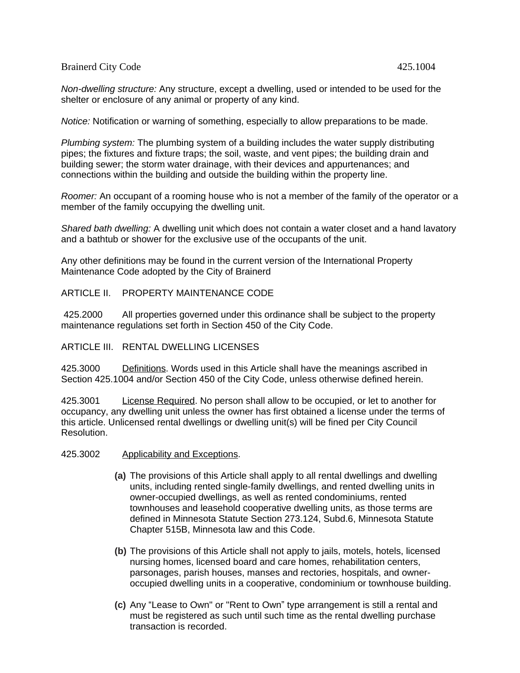*Non-dwelling structure:* Any structure, except a dwelling, used or intended to be used for the shelter or enclosure of any animal or property of any kind.

*Notice:* Notification or warning of something, especially to allow preparations to be made.

*Plumbing system:* The plumbing system of a building includes the water supply distributing pipes; the fixtures and fixture traps; the soil, waste, and vent pipes; the building drain and building sewer; the storm water drainage, with their devices and appurtenances; and connections within the building and outside the building within the property line.

*Roomer:* An occupant of a rooming house who is not a member of the family of the operator or a member of the family occupying the dwelling unit.

*Shared bath dwelling:* A dwelling unit which does not contain a water closet and a hand lavatory and a bathtub or shower for the exclusive use of the occupants of the unit.

Any other definitions may be found in the current version of the International Property Maintenance Code adopted by the City of Brainerd

#### ARTICLE II. PROPERTY MAINTENANCE CODE

425.2000 All properties governed under this ordinance shall be subject to the property maintenance regulations set forth in Section 450 of the City Code.

#### ARTICLE III. RENTAL DWELLING LICENSES

425.3000 Definitions. Words used in this Article shall have the meanings ascribed in Section 425.1004 and/or Section 450 of the City Code, unless otherwise defined herein.

425.3001 License Required. No person shall allow to be occupied, or let to another for occupancy, any dwelling unit unless the owner has first obtained a license under the terms of this article. Unlicensed rental dwellings or dwelling unit(s) will be fined per City Council Resolution.

- 425.3002 Applicability and Exceptions.
	- **(a)** The provisions of this Article shall apply to all rental dwellings and dwelling units, including rented single-family dwellings, and rented dwelling units in owner-occupied dwellings, as well as rented condominiums, rented townhouses and leasehold cooperative dwelling units, as those terms are defined in Minnesota Statute Section 273.124, Subd.6, Minnesota Statute Chapter 515B, Minnesota law and this Code.
	- **(b)** The provisions of this Article shall not apply to jails, motels, hotels, licensed nursing homes, licensed board and care homes, rehabilitation centers, parsonages, parish houses, manses and rectories, hospitals, and owneroccupied dwelling units in a cooperative, condominium or townhouse building.
	- **(c)** Any "Lease to Own" or "Rent to Own" type arrangement is still a rental and must be registered as such until such time as the rental dwelling purchase transaction is recorded.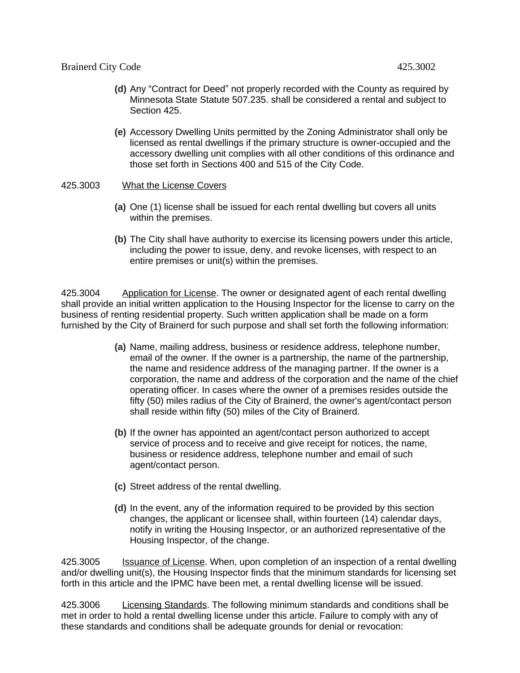- **(d)** Any "Contract for Deed" not properly recorded with the County as required by Minnesota State Statute 507.235. shall be considered a rental and subject to Section 425.
- **(e)** Accessory Dwelling Units permitted by the Zoning Administrator shall only be licensed as rental dwellings if the primary structure is owner-occupied and the accessory dwelling unit complies with all other conditions of this ordinance and those set forth in Sections 400 and 515 of the City Code.
- 425.3003 What the License Covers
	- **(a)** One (1) license shall be issued for each rental dwelling but covers all units within the premises.
	- **(b)** The City shall have authority to exercise its licensing powers under this article, including the power to issue, deny, and revoke licenses, with respect to an entire premises or unit(s) within the premises.

425.3004 Application for License. The owner or designated agent of each rental dwelling shall provide an initial written application to the Housing Inspector for the license to carry on the business of renting residential property. Such written application shall be made on a form furnished by the City of Brainerd for such purpose and shall set forth the following information:

- **(a)** Name, mailing address, business or residence address, telephone number, email of the owner. If the owner is a partnership, the name of the partnership, the name and residence address of the managing partner. If the owner is a corporation, the name and address of the corporation and the name of the chief operating officer. In cases where the owner of a premises resides outside the fifty (50) miles radius of the City of Brainerd, the owner's agent/contact person shall reside within fifty (50) miles of the City of Brainerd.
- **(b)** If the owner has appointed an agent/contact person authorized to accept service of process and to receive and give receipt for notices, the name, business or residence address, telephone number and email of such agent/contact person.
- **(c)** Street address of the rental dwelling.
- **(d)** In the event, any of the information required to be provided by this section changes, the applicant or licensee shall, within fourteen (14) calendar days, notify in writing the Housing Inspector, or an authorized representative of the Housing Inspector, of the change.

425.3005 **Issuance of License.** When, upon completion of an inspection of a rental dwelling and/or dwelling unit(s), the Housing Inspector finds that the minimum standards for licensing set forth in this article and the IPMC have been met, a rental dwelling license will be issued.

425.3006 Licensing Standards. The following minimum standards and conditions shall be met in order to hold a rental dwelling license under this article. Failure to comply with any of these standards and conditions shall be adequate grounds for denial or revocation: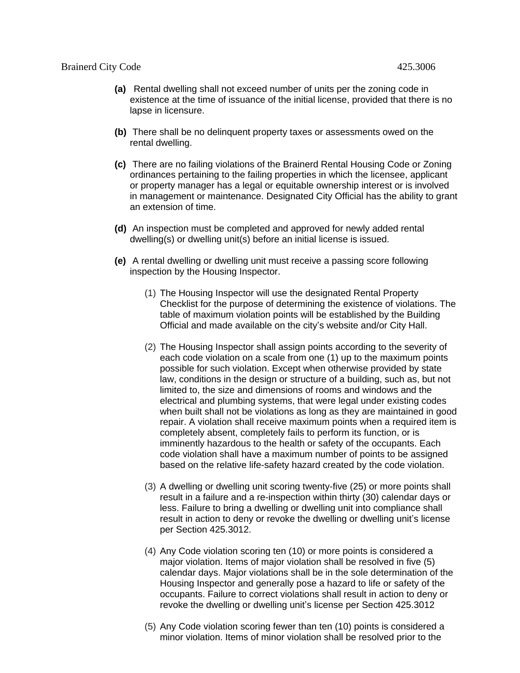- **(a)** Rental dwelling shall not exceed number of units per the zoning code in existence at the time of issuance of the initial license, provided that there is no lapse in licensure.
- **(b)** There shall be no delinquent property taxes or assessments owed on the rental dwelling.
- **(c)** There are no failing violations of the Brainerd Rental Housing Code or Zoning ordinances pertaining to the failing properties in which the licensee, applicant or property manager has a legal or equitable ownership interest or is involved in management or maintenance. Designated City Official has the ability to grant an extension of time.
- **(d)** An inspection must be completed and approved for newly added rental dwelling(s) or dwelling unit(s) before an initial license is issued.
- **(e)** A rental dwelling or dwelling unit must receive a passing score following inspection by the Housing Inspector.
	- (1) The Housing Inspector will use the designated Rental Property Checklist for the purpose of determining the existence of violations. The table of maximum violation points will be established by the Building Official and made available on the city's website and/or City Hall.
	- (2) The Housing Inspector shall assign points according to the severity of each code violation on a scale from one (1) up to the maximum points possible for such violation. Except when otherwise provided by state law, conditions in the design or structure of a building, such as, but not limited to, the size and dimensions of rooms and windows and the electrical and plumbing systems, that were legal under existing codes when built shall not be violations as long as they are maintained in good repair. A violation shall receive maximum points when a required item is completely absent, completely fails to perform its function, or is imminently hazardous to the health or safety of the occupants. Each code violation shall have a maximum number of points to be assigned based on the relative life-safety hazard created by the code violation.
	- (3) A dwelling or dwelling unit scoring twenty-five (25) or more points shall result in a failure and a re-inspection within thirty (30) calendar days or less. Failure to bring a dwelling or dwelling unit into compliance shall result in action to deny or revoke the dwelling or dwelling unit's license per Section 425.3012.
	- (4) Any Code violation scoring ten (10) or more points is considered a major violation. Items of major violation shall be resolved in five (5) calendar days. Major violations shall be in the sole determination of the Housing Inspector and generally pose a hazard to life or safety of the occupants. Failure to correct violations shall result in action to deny or revoke the dwelling or dwelling unit's license per Section 425.3012
	- (5) Any Code violation scoring fewer than ten (10) points is considered a minor violation. Items of minor violation shall be resolved prior to the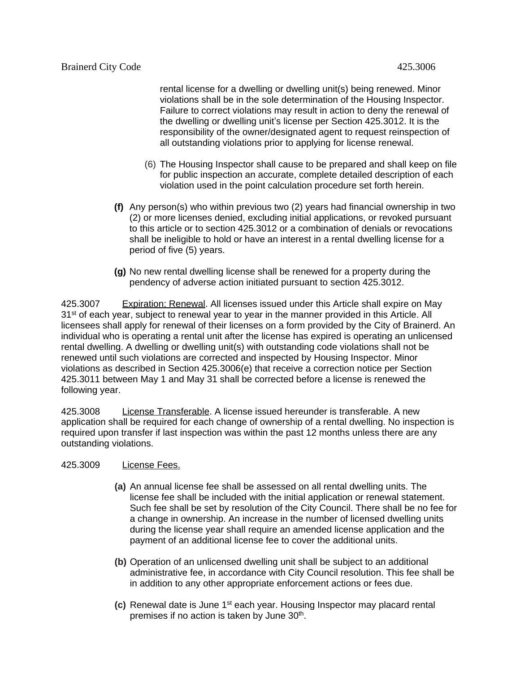rental license for a dwelling or dwelling unit(s) being renewed. Minor violations shall be in the sole determination of the Housing Inspector. Failure to correct violations may result in action to deny the renewal of the dwelling or dwelling unit's license per Section 425.3012. It is the responsibility of the owner/designated agent to request reinspection of all outstanding violations prior to applying for license renewal.

- (6) The Housing Inspector shall cause to be prepared and shall keep on file for public inspection an accurate, complete detailed description of each violation used in the point calculation procedure set forth herein.
- **(f)** Any person(s) who within previous two (2) years had financial ownership in two (2) or more licenses denied, excluding initial applications, or revoked pursuant to this article or to section 425.3012 or a combination of denials or revocations shall be ineligible to hold or have an interest in a rental dwelling license for a period of five (5) years.
- **(g)** No new rental dwelling license shall be renewed for a property during the pendency of adverse action initiated pursuant to section 425.3012.

425.3007 Expiration; Renewal. All licenses issued under this Article shall expire on May 31<sup>st</sup> of each year, subject to renewal year to year in the manner provided in this Article. All licensees shall apply for renewal of their licenses on a form provided by the City of Brainerd. An individual who is operating a rental unit after the license has expired is operating an unlicensed rental dwelling. A dwelling or dwelling unit(s) with outstanding code violations shall not be renewed until such violations are corrected and inspected by Housing Inspector. Minor violations as described in Section 425.3006(e) that receive a correction notice per Section 425.3011 between May 1 and May 31 shall be corrected before a license is renewed the following year.

425.3008 License Transferable. A license issued hereunder is transferable. A new application shall be required for each change of ownership of a rental dwelling. No inspection is required upon transfer if last inspection was within the past 12 months unless there are any outstanding violations.

- 425.3009 License Fees.
	- **(a)** An annual license fee shall be assessed on all rental dwelling units. The license fee shall be included with the initial application or renewal statement. Such fee shall be set by resolution of the City Council. There shall be no fee for a change in ownership. An increase in the number of licensed dwelling units during the license year shall require an amended license application and the payment of an additional license fee to cover the additional units.
	- **(b)** Operation of an unlicensed dwelling unit shall be subject to an additional administrative fee, in accordance with City Council resolution. This fee shall be in addition to any other appropriate enforcement actions or fees due.
	- **(c)** Renewal date is June 1st each year. Housing Inspector may placard rental premises if no action is taken by June 30<sup>th</sup>.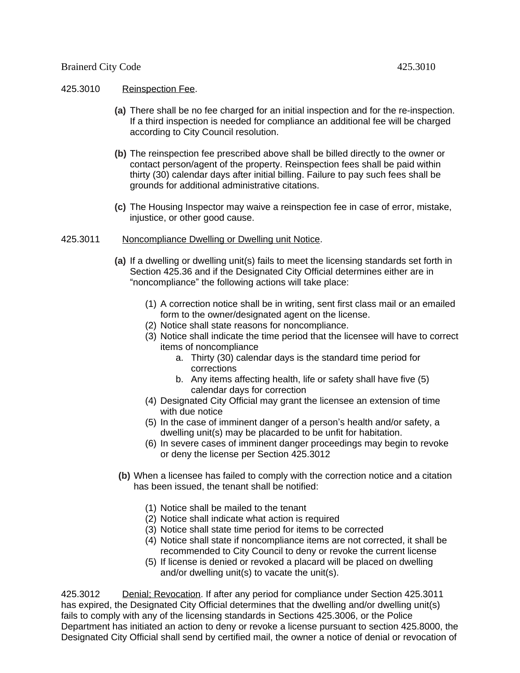## 425.3010 Reinspection Fee.

- **(a)** There shall be no fee charged for an initial inspection and for the re-inspection. If a third inspection is needed for compliance an additional fee will be charged according to City Council resolution.
- **(b)** The reinspection fee prescribed above shall be billed directly to the owner or contact person/agent of the property. Reinspection fees shall be paid within thirty (30) calendar days after initial billing. Failure to pay such fees shall be grounds for additional administrative citations.
- **(c)** The Housing Inspector may waive a reinspection fee in case of error, mistake, injustice, or other good cause.
- 425.3011 Noncompliance Dwelling or Dwelling unit Notice.
	- **(a)** If a dwelling or dwelling unit(s) fails to meet the licensing standards set forth in Section 425.36 and if the Designated City Official determines either are in "noncompliance" the following actions will take place:
		- (1) A correction notice shall be in writing, sent first class mail or an emailed form to the owner/designated agent on the license.
		- (2) Notice shall state reasons for noncompliance.
		- (3) Notice shall indicate the time period that the licensee will have to correct items of noncompliance
			- a. Thirty (30) calendar days is the standard time period for corrections
			- b. Any items affecting health, life or safety shall have five (5) calendar days for correction
		- (4) Designated City Official may grant the licensee an extension of time with due notice
		- (5) In the case of imminent danger of a person's health and/or safety, a dwelling unit(s) may be placarded to be unfit for habitation.
		- (6) In severe cases of imminent danger proceedings may begin to revoke or deny the license per Section 425.3012
	- **(b)** When a licensee has failed to comply with the correction notice and a citation has been issued, the tenant shall be notified:
		- (1) Notice shall be mailed to the tenant
		- (2) Notice shall indicate what action is required
		- (3) Notice shall state time period for items to be corrected
		- (4) Notice shall state if noncompliance items are not corrected, it shall be recommended to City Council to deny or revoke the current license
		- (5) If license is denied or revoked a placard will be placed on dwelling and/or dwelling unit(s) to vacate the unit(s).

425.3012 Denial; Revocation. If after any period for compliance under Section 425.3011 has expired, the Designated City Official determines that the dwelling and/or dwelling unit(s) fails to comply with any of the licensing standards in Sections 425.3006, or the Police Department has initiated an action to deny or revoke a license pursuant to section 425.8000, the Designated City Official shall send by certified mail, the owner a notice of denial or revocation of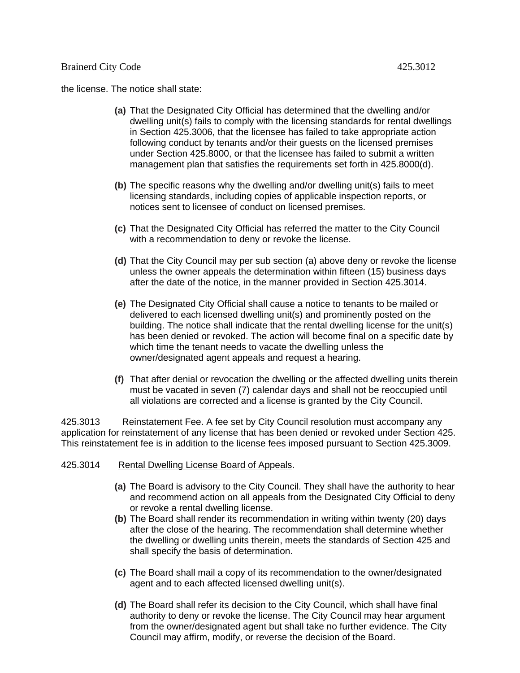the license. The notice shall state:

- **(a)** That the Designated City Official has determined that the dwelling and/or dwelling unit(s) fails to comply with the licensing standards for rental dwellings in Section 425.3006, that the licensee has failed to take appropriate action following conduct by tenants and/or their guests on the licensed premises under Section 425.8000, or that the licensee has failed to submit a written management plan that satisfies the requirements set forth in 425.8000(d).
- **(b)** The specific reasons why the dwelling and/or dwelling unit(s) fails to meet licensing standards, including copies of applicable inspection reports, or notices sent to licensee of conduct on licensed premises.
- **(c)** That the Designated City Official has referred the matter to the City Council with a recommendation to deny or revoke the license.
- **(d)** That the City Council may per sub section (a) above deny or revoke the license unless the owner appeals the determination within fifteen (15) business days after the date of the notice, in the manner provided in Section 425.3014.
- **(e)** The Designated City Official shall cause a notice to tenants to be mailed or delivered to each licensed dwelling unit(s) and prominently posted on the building. The notice shall indicate that the rental dwelling license for the unit(s) has been denied or revoked. The action will become final on a specific date by which time the tenant needs to vacate the dwelling unless the owner/designated agent appeals and request a hearing.
- **(f)** That after denial or revocation the dwelling or the affected dwelling units therein must be vacated in seven (7) calendar days and shall not be reoccupied until all violations are corrected and a license is granted by the City Council.

425.3013 Reinstatement Fee. A fee set by City Council resolution must accompany any application for reinstatement of any license that has been denied or revoked under Section 425. This reinstatement fee is in addition to the license fees imposed pursuant to Section 425.3009.

- 425.3014 Rental Dwelling License Board of Appeals.
	- **(a)** The Board is advisory to the City Council. They shall have the authority to hear and recommend action on all appeals from the Designated City Official to deny or revoke a rental dwelling license.
	- **(b)** The Board shall render its recommendation in writing within twenty (20) days after the close of the hearing. The recommendation shall determine whether the dwelling or dwelling units therein, meets the standards of Section 425 and shall specify the basis of determination.
	- **(c)** The Board shall mail a copy of its recommendation to the owner/designated agent and to each affected licensed dwelling unit(s).
	- **(d)** The Board shall refer its decision to the City Council, which shall have final authority to deny or revoke the license. The City Council may hear argument from the owner/designated agent but shall take no further evidence. The City Council may affirm, modify, or reverse the decision of the Board.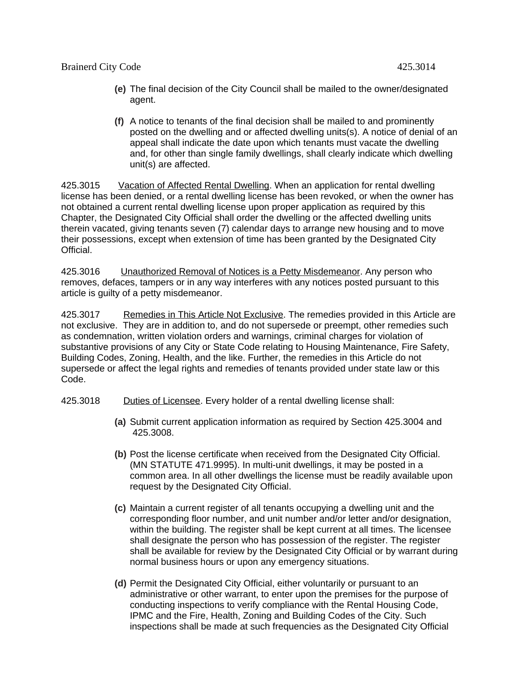- **(e)** The final decision of the City Council shall be mailed to the owner/designated agent.
- **(f)** A notice to tenants of the final decision shall be mailed to and prominently posted on the dwelling and or affected dwelling units(s). A notice of denial of an appeal shall indicate the date upon which tenants must vacate the dwelling and, for other than single family dwellings, shall clearly indicate which dwelling unit(s) are affected.

425.3015 Vacation of Affected Rental Dwelling. When an application for rental dwelling license has been denied, or a rental dwelling license has been revoked, or when the owner has not obtained a current rental dwelling license upon proper application as required by this Chapter, the Designated City Official shall order the dwelling or the affected dwelling units therein vacated, giving tenants seven (7) calendar days to arrange new housing and to move their possessions, except when extension of time has been granted by the Designated City Official.

425.3016 Unauthorized Removal of Notices is a Petty Misdemeanor. Any person who removes, defaces, tampers or in any way interferes with any notices posted pursuant to this article is guilty of a petty misdemeanor.

425.3017 Remedies in This Article Not Exclusive. The remedies provided in this Article are not exclusive. They are in addition to, and do not supersede or preempt, other remedies such as condemnation, written violation orders and warnings, criminal charges for violation of substantive provisions of any City or State Code relating to Housing Maintenance, Fire Safety, Building Codes, Zoning, Health, and the like. Further, the remedies in this Article do not supersede or affect the legal rights and remedies of tenants provided under state law or this Code.

- 425.3018 Duties of Licensee. Every holder of a rental dwelling license shall:
	- **(a)** Submit current application information as required by Section 425.3004 and 425.3008.
	- **(b)** Post the license certificate when received from the Designated City Official. (MN STATUTE 471.9995). In multi-unit dwellings, it may be posted in a common area. In all other dwellings the license must be readily available upon request by the Designated City Official.
	- **(c)** Maintain a current register of all tenants occupying a dwelling unit and the corresponding floor number, and unit number and/or letter and/or designation, within the building. The register shall be kept current at all times. The licensee shall designate the person who has possession of the register. The register shall be available for review by the Designated City Official or by warrant during normal business hours or upon any emergency situations.
	- **(d)** Permit the Designated City Official, either voluntarily or pursuant to an administrative or other warrant, to enter upon the premises for the purpose of conducting inspections to verify compliance with the Rental Housing Code, IPMC and the Fire, Health, Zoning and Building Codes of the City. Such inspections shall be made at such frequencies as the Designated City Official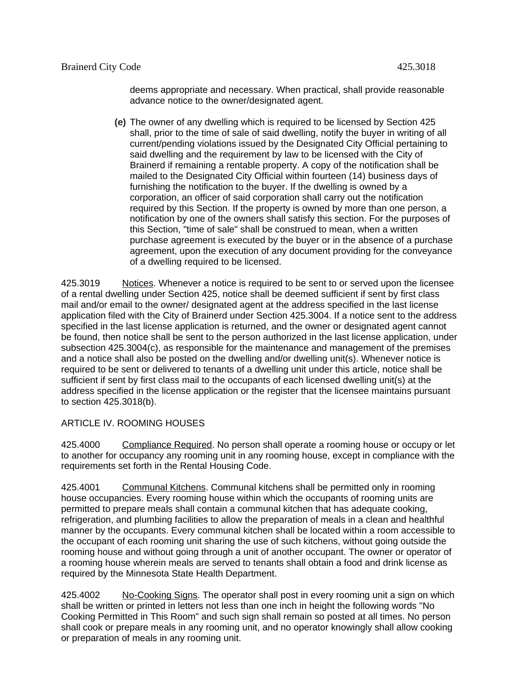deems appropriate and necessary. When practical, shall provide reasonable advance notice to the owner/designated agent.

**(e)** The owner of any dwelling which is required to be licensed by Section 425 shall, prior to the time of sale of said dwelling, notify the buyer in writing of all current/pending violations issued by the Designated City Official pertaining to said dwelling and the requirement by law to be licensed with the City of Brainerd if remaining a rentable property. A copy of the notification shall be mailed to the Designated City Official within fourteen (14) business days of furnishing the notification to the buyer. If the dwelling is owned by a corporation, an officer of said corporation shall carry out the notification required by this Section. If the property is owned by more than one person, a notification by one of the owners shall satisfy this section. For the purposes of this Section, "time of sale" shall be construed to mean, when a written purchase agreement is executed by the buyer or in the absence of a purchase agreement, upon the execution of any document providing for the conveyance of a dwelling required to be licensed.

425.3019 Notices. Whenever a notice is required to be sent to or served upon the licensee of a rental dwelling under Section 425, notice shall be deemed sufficient if sent by first class mail and/or email to the owner/ designated agent at the address specified in the last license application filed with the City of Brainerd under Section 425.3004. If a notice sent to the address specified in the last license application is returned, and the owner or designated agent cannot be found, then notice shall be sent to the person authorized in the last license application, under subsection 425.3004(c), as responsible for the maintenance and management of the premises and a notice shall also be posted on the dwelling and/or dwelling unit(s). Whenever notice is required to be sent or delivered to tenants of a dwelling unit under this article, notice shall be sufficient if sent by first class mail to the occupants of each licensed dwelling unit(s) at the address specified in the license application or the register that the licensee maintains pursuant to section 425.3018(b).

ARTICLE IV. ROOMING HOUSES

425.4000 Compliance Required. No person shall operate a rooming house or occupy or let to another for occupancy any rooming unit in any rooming house, except in compliance with the requirements set forth in the Rental Housing Code.

425.4001 Communal Kitchens. Communal kitchens shall be permitted only in rooming house occupancies. Every rooming house within which the occupants of rooming units are permitted to prepare meals shall contain a communal kitchen that has adequate cooking, refrigeration, and plumbing facilities to allow the preparation of meals in a clean and healthful manner by the occupants. Every communal kitchen shall be located within a room accessible to the occupant of each rooming unit sharing the use of such kitchens, without going outside the rooming house and without going through a unit of another occupant. The owner or operator of a rooming house wherein meals are served to tenants shall obtain a food and drink license as required by the Minnesota State Health Department.

425.4002 No-Cooking Signs. The operator shall post in every rooming unit a sign on which shall be written or printed in letters not less than one inch in height the following words "No Cooking Permitted in This Room" and such sign shall remain so posted at all times. No person shall cook or prepare meals in any rooming unit, and no operator knowingly shall allow cooking or preparation of meals in any rooming unit.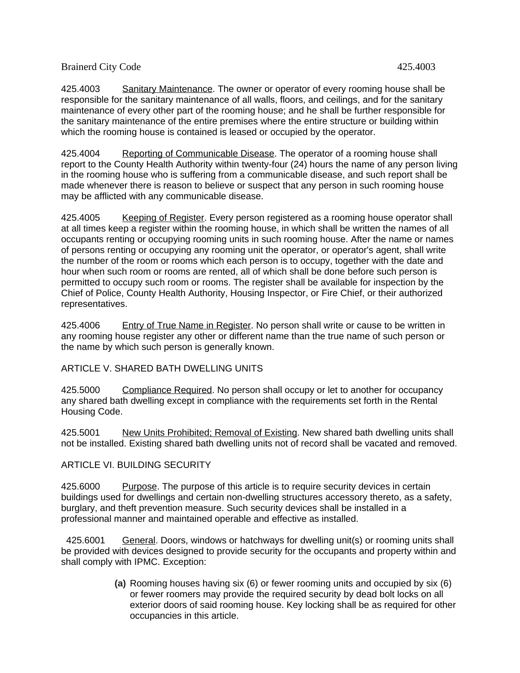425.4003 Sanitary Maintenance. The owner or operator of every rooming house shall be responsible for the sanitary maintenance of all walls, floors, and ceilings, and for the sanitary maintenance of every other part of the rooming house; and he shall be further responsible for the sanitary maintenance of the entire premises where the entire structure or building within which the rooming house is contained is leased or occupied by the operator.

425.4004 Reporting of Communicable Disease. The operator of a rooming house shall report to the County Health Authority within twenty-four (24) hours the name of any person living in the rooming house who is suffering from a communicable disease, and such report shall be made whenever there is reason to believe or suspect that any person in such rooming house may be afflicted with any communicable disease.

425.4005 Keeping of Register. Every person registered as a rooming house operator shall at all times keep a register within the rooming house, in which shall be written the names of all occupants renting or occupying rooming units in such rooming house. After the name or names of persons renting or occupying any rooming unit the operator, or operator's agent, shall write the number of the room or rooms which each person is to occupy, together with the date and hour when such room or rooms are rented, all of which shall be done before such person is permitted to occupy such room or rooms. The register shall be available for inspection by the Chief of Police, County Health Authority, Housing Inspector, or Fire Chief, or their authorized representatives.

425.4006 Entry of True Name in Register. No person shall write or cause to be written in any rooming house register any other or different name than the true name of such person or the name by which such person is generally known.

#### ARTICLE V. SHARED BATH DWELLING UNITS

425.5000 Compliance Required. No person shall occupy or let to another for occupancy any shared bath dwelling except in compliance with the requirements set forth in the Rental Housing Code.

425.5001 New Units Prohibited; Removal of Existing. New shared bath dwelling units shall not be installed. Existing shared bath dwelling units not of record shall be vacated and removed.

# ARTICLE VI. BUILDING SECURITY

425.6000 Purpose. The purpose of this article is to require security devices in certain buildings used for dwellings and certain non-dwelling structures accessory thereto, as a safety, burglary, and theft prevention measure. Such security devices shall be installed in a professional manner and maintained operable and effective as installed.

 425.6001 General. Doors, windows or hatchways for dwelling unit(s) or rooming units shall be provided with devices designed to provide security for the occupants and property within and shall comply with IPMC. Exception:

> **(a)** Rooming houses having six (6) or fewer rooming units and occupied by six (6) or fewer roomers may provide the required security by dead bolt locks on all exterior doors of said rooming house. Key locking shall be as required for other occupancies in this article.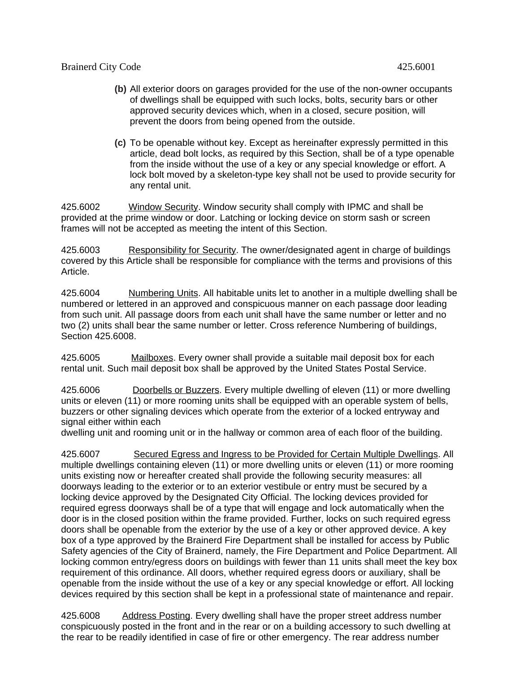- **(b)** All exterior doors on garages provided for the use of the non-owner occupants of dwellings shall be equipped with such locks, bolts, security bars or other approved security devices which, when in a closed, secure position, will prevent the doors from being opened from the outside.
- **(c)** To be openable without key. Except as hereinafter expressly permitted in this article, dead bolt locks, as required by this Section, shall be of a type openable from the inside without the use of a key or any special knowledge or effort. A lock bolt moved by a skeleton-type key shall not be used to provide security for any rental unit.

425.6002 Window Security. Window security shall comply with IPMC and shall be provided at the prime window or door. Latching or locking device on storm sash or screen frames will not be accepted as meeting the intent of this Section.

425.6003 Responsibility for Security. The owner/designated agent in charge of buildings covered by this Article shall be responsible for compliance with the terms and provisions of this Article.

425.6004 Numbering Units. All habitable units let to another in a multiple dwelling shall be numbered or lettered in an approved and conspicuous manner on each passage door leading from such unit. All passage doors from each unit shall have the same number or letter and no two (2) units shall bear the same number or letter. Cross reference Numbering of buildings, Section 425.6008.

425.6005 Mailboxes. Every owner shall provide a suitable mail deposit box for each rental unit. Such mail deposit box shall be approved by the United States Postal Service.

425.6006 Doorbells or Buzzers. Every multiple dwelling of eleven (11) or more dwelling units or eleven (11) or more rooming units shall be equipped with an operable system of bells, buzzers or other signaling devices which operate from the exterior of a locked entryway and signal either within each

dwelling unit and rooming unit or in the hallway or common area of each floor of the building.

425.6007 Secured Egress and Ingress to be Provided for Certain Multiple Dwellings. All multiple dwellings containing eleven (11) or more dwelling units or eleven (11) or more rooming units existing now or hereafter created shall provide the following security measures: all doorways leading to the exterior or to an exterior vestibule or entry must be secured by a locking device approved by the Designated City Official. The locking devices provided for required egress doorways shall be of a type that will engage and lock automatically when the door is in the closed position within the frame provided. Further, locks on such required egress doors shall be openable from the exterior by the use of a key or other approved device. A key box of a type approved by the Brainerd Fire Department shall be installed for access by Public Safety agencies of the City of Brainerd, namely, the Fire Department and Police Department. All locking common entry/egress doors on buildings with fewer than 11 units shall meet the key box requirement of this ordinance. All doors, whether required egress doors or auxiliary, shall be openable from the inside without the use of a key or any special knowledge or effort. All locking devices required by this section shall be kept in a professional state of maintenance and repair.

425.6008 Address Posting. Every dwelling shall have the proper street address number conspicuously posted in the front and in the rear or on a building accessory to such dwelling at the rear to be readily identified in case of fire or other emergency. The rear address number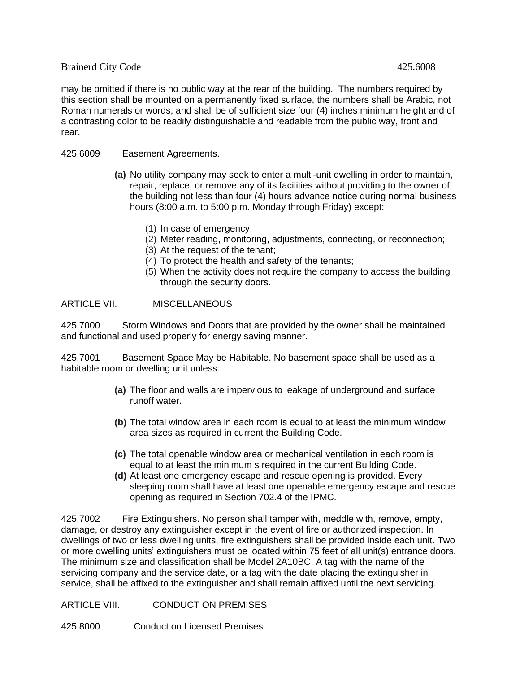may be omitted if there is no public way at the rear of the building. The numbers required by this section shall be mounted on a permanently fixed surface, the numbers shall be Arabic, not Roman numerals or words, and shall be of sufficient size four (4) inches minimum height and of a contrasting color to be readily distinguishable and readable from the public way, front and rear.

### 425.6009 Easement Agreements.

- **(a)** No utility company may seek to enter a multi-unit dwelling in order to maintain, repair, replace, or remove any of its facilities without providing to the owner of the building not less than four (4) hours advance notice during normal business hours (8:00 a.m. to 5:00 p.m. Monday through Friday) except:
	- (1) In case of emergency;
	- (2) Meter reading, monitoring, adjustments, connecting, or reconnection;
	- (3) At the request of the tenant;
	- (4) To protect the health and safety of the tenants;
	- (5) When the activity does not require the company to access the building through the security doors.

## ARTICLE VII. MISCELLANEOUS

425.7000 Storm Windows and Doors that are provided by the owner shall be maintained and functional and used properly for energy saving manner.

425.7001 Basement Space May be Habitable. No basement space shall be used as a habitable room or dwelling unit unless:

- **(a)** The floor and walls are impervious to leakage of underground and surface runoff water.
- **(b)** The total window area in each room is equal to at least the minimum window area sizes as required in current the Building Code.
- **(c)** The total openable window area or mechanical ventilation in each room is equal to at least the minimum s required in the current Building Code.
- **(d)** At least one emergency escape and rescue opening is provided. Every sleeping room shall have at least one openable emergency escape and rescue opening as required in Section 702.4 of the IPMC.

425.7002 Fire Extinguishers. No person shall tamper with, meddle with, remove, empty, damage, or destroy any extinguisher except in the event of fire or authorized inspection. In dwellings of two or less dwelling units, fire extinguishers shall be provided inside each unit. Two or more dwelling units' extinguishers must be located within 75 feet of all unit(s) entrance doors. The minimum size and classification shall be Model 2A10BC. A tag with the name of the servicing company and the service date, or a tag with the date placing the extinguisher in service, shall be affixed to the extinguisher and shall remain affixed until the next servicing.

ARTICLE VIII. CONDUCT ON PREMISES

425.8000 Conduct on Licensed Premises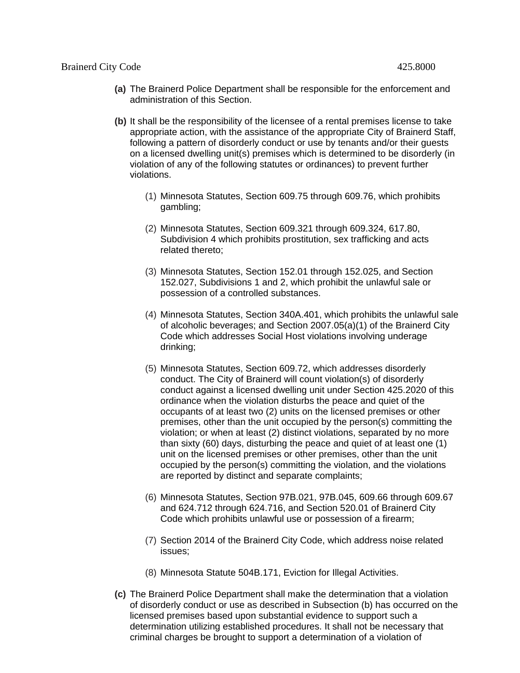- **(a)** The Brainerd Police Department shall be responsible for the enforcement and administration of this Section.
- **(b)** It shall be the responsibility of the licensee of a rental premises license to take appropriate action, with the assistance of the appropriate City of Brainerd Staff, following a pattern of disorderly conduct or use by tenants and/or their guests on a licensed dwelling unit(s) premises which is determined to be disorderly (in violation of any of the following statutes or ordinances) to prevent further violations.
	- (1) Minnesota Statutes, Section 609.75 through 609.76, which prohibits gambling;
	- (2) Minnesota Statutes, Section 609.321 through 609.324, 617.80, Subdivision 4 which prohibits prostitution, sex trafficking and acts related thereto;
	- (3) Minnesota Statutes, Section 152.01 through 152.025, and Section 152.027, Subdivisions 1 and 2, which prohibit the unlawful sale or possession of a controlled substances.
	- (4) Minnesota Statutes, Section 340A.401, which prohibits the unlawful sale of alcoholic beverages; and Section 2007.05(a)(1) of the Brainerd City Code which addresses Social Host violations involving underage drinking;
	- (5) Minnesota Statutes, Section 609.72, which addresses disorderly conduct. The City of Brainerd will count violation(s) of disorderly conduct against a licensed dwelling unit under Section 425.2020 of this ordinance when the violation disturbs the peace and quiet of the occupants of at least two (2) units on the licensed premises or other premises, other than the unit occupied by the person(s) committing the violation; or when at least (2) distinct violations, separated by no more than sixty (60) days, disturbing the peace and quiet of at least one (1) unit on the licensed premises or other premises, other than the unit occupied by the person(s) committing the violation, and the violations are reported by distinct and separate complaints;
	- (6) Minnesota Statutes, Section 97B.021, 97B.045, 609.66 through 609.67 and 624.712 through 624.716, and Section 520.01 of Brainerd City Code which prohibits unlawful use or possession of a firearm;
	- (7) Section 2014 of the Brainerd City Code, which address noise related issues;
	- (8) Minnesota Statute 504B.171, Eviction for Illegal Activities.
- **(c)** The Brainerd Police Department shall make the determination that a violation of disorderly conduct or use as described in Subsection (b) has occurred on the licensed premises based upon substantial evidence to support such a determination utilizing established procedures. It shall not be necessary that criminal charges be brought to support a determination of a violation of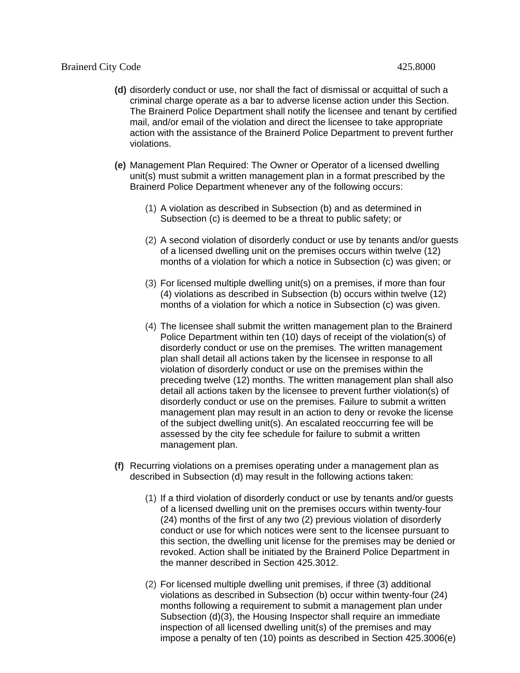- **(d)** disorderly conduct or use, nor shall the fact of dismissal or acquittal of such a criminal charge operate as a bar to adverse license action under this Section. The Brainerd Police Department shall notify the licensee and tenant by certified mail, and/or email of the violation and direct the licensee to take appropriate action with the assistance of the Brainerd Police Department to prevent further violations.
- **(e)** Management Plan Required: The Owner or Operator of a licensed dwelling unit(s) must submit a written management plan in a format prescribed by the Brainerd Police Department whenever any of the following occurs:
	- (1) A violation as described in Subsection (b) and as determined in Subsection (c) is deemed to be a threat to public safety; or
	- (2) A second violation of disorderly conduct or use by tenants and/or guests of a licensed dwelling unit on the premises occurs within twelve (12) months of a violation for which a notice in Subsection (c) was given; or
	- (3) For licensed multiple dwelling unit(s) on a premises, if more than four (4) violations as described in Subsection (b) occurs within twelve (12) months of a violation for which a notice in Subsection (c) was given.
	- (4) The licensee shall submit the written management plan to the Brainerd Police Department within ten (10) days of receipt of the violation(s) of disorderly conduct or use on the premises. The written management plan shall detail all actions taken by the licensee in response to all violation of disorderly conduct or use on the premises within the preceding twelve (12) months. The written management plan shall also detail all actions taken by the licensee to prevent further violation(s) of disorderly conduct or use on the premises. Failure to submit a written management plan may result in an action to deny or revoke the license of the subject dwelling unit(s). An escalated reoccurring fee will be assessed by the city fee schedule for failure to submit a written management plan.
- **(f)** Recurring violations on a premises operating under a management plan as described in Subsection (d) may result in the following actions taken:
	- (1) If a third violation of disorderly conduct or use by tenants and/or guests of a licensed dwelling unit on the premises occurs within twenty-four (24) months of the first of any two (2) previous violation of disorderly conduct or use for which notices were sent to the licensee pursuant to this section, the dwelling unit license for the premises may be denied or revoked. Action shall be initiated by the Brainerd Police Department in the manner described in Section 425.3012.
	- (2) For licensed multiple dwelling unit premises, if three (3) additional violations as described in Subsection (b) occur within twenty-four (24) months following a requirement to submit a management plan under Subsection (d)(3), the Housing Inspector shall require an immediate inspection of all licensed dwelling unit(s) of the premises and may impose a penalty of ten (10) points as described in Section 425.3006(e)